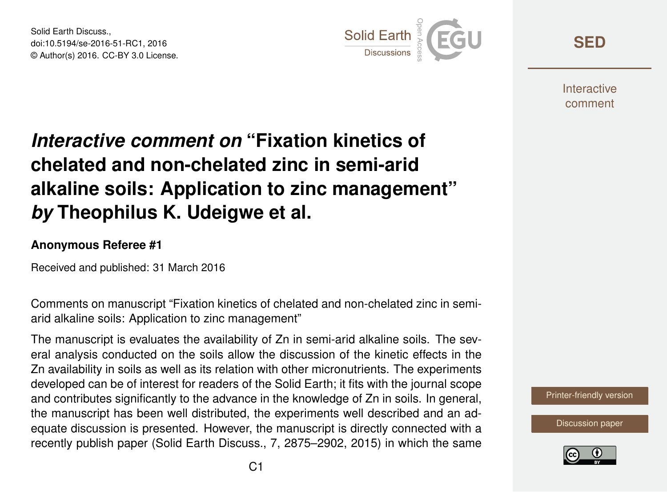Solid Earth Discuss., doi:10.5194/se-2016-51-RC1, 2016 © Author(s) 2016. CC-BY 3.0 License.



**[SED](http://www.solid-earth-discuss.net/)**

**Interactive** comment

## *Interactive comment on* **"Fixation kinetics of chelated and non-chelated zinc in semi-arid alkaline soils: Application to zinc management"** *by* **Theophilus K. Udeigwe et al.**

## **Anonymous Referee #1**

Received and published: 31 March 2016

Comments on manuscript "Fixation kinetics of chelated and non-chelated zinc in semiarid alkaline soils: Application to zinc management"

The manuscript is evaluates the availability of Zn in semi-arid alkaline soils. The several analysis conducted on the soils allow the discussion of the kinetic effects in the Zn availability in soils as well as its relation with other micronutrients. The experiments developed can be of interest for readers of the Solid Earth; it fits with the journal scope and contributes significantly to the advance in the knowledge of Zn in soils. In general, the manuscript has been well distributed, the experiments well described and an adequate discussion is presented. However, the manuscript is directly connected with a recently publish paper (Solid Earth Discuss., 7, 2875–2902, 2015) in which the same

[Printer-friendly version](http://www.solid-earth-discuss.net/se-2016-51/se-2016-51-RC1-print.pdf)

[Discussion paper](http://www.solid-earth-discuss.net/se-2016-51)

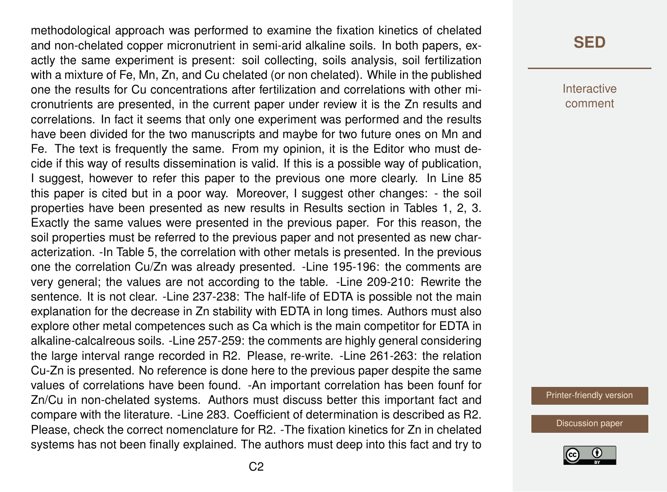methodological approach was performed to examine the fixation kinetics of chelated and non-chelated copper micronutrient in semi-arid alkaline soils. In both papers, exactly the same experiment is present: soil collecting, soils analysis, soil fertilization with a mixture of Fe, Mn, Zn, and Cu chelated (or non chelated). While in the published one the results for Cu concentrations after fertilization and correlations with other micronutrients are presented, in the current paper under review it is the Zn results and correlations. In fact it seems that only one experiment was performed and the results have been divided for the two manuscripts and maybe for two future ones on Mn and Fe. The text is frequently the same. From my opinion, it is the Editor who must decide if this way of results dissemination is valid. If this is a possible way of publication, I suggest, however to refer this paper to the previous one more clearly. In Line 85 this paper is cited but in a poor way. Moreover, I suggest other changes: - the soil properties have been presented as new results in Results section in Tables 1, 2, 3. Exactly the same values were presented in the previous paper. For this reason, the soil properties must be referred to the previous paper and not presented as new characterization. -In Table 5, the correlation with other metals is presented. In the previous one the correlation Cu/Zn was already presented. -Line 195-196: the comments are very general; the values are not according to the table. -Line 209-210: Rewrite the sentence. It is not clear. -Line 237-238: The half-life of EDTA is possible not the main explanation for the decrease in Zn stability with EDTA in long times. Authors must also explore other metal competences such as Ca which is the main competitor for EDTA in alkaline-calcalreous soils. -Line 257-259: the comments are highly general considering the large interval range recorded in R2. Please, re-write. -Line 261-263: the relation Cu-Zn is presented. No reference is done here to the previous paper despite the same values of correlations have been found. -An important correlation has been founf for Zn/Cu in non-chelated systems. Authors must discuss better this important fact and compare with the literature. -Line 283. Coefficient of determination is described as R2. Please, check the correct nomenclature for R2. -The fixation kinetics for Zn in chelated systems has not been finally explained. The authors must deep into this fact and try to

## **[SED](http://www.solid-earth-discuss.net/)**

Interactive comment

[Printer-friendly version](http://www.solid-earth-discuss.net/se-2016-51/se-2016-51-RC1-print.pdf)

[Discussion paper](http://www.solid-earth-discuss.net/se-2016-51)